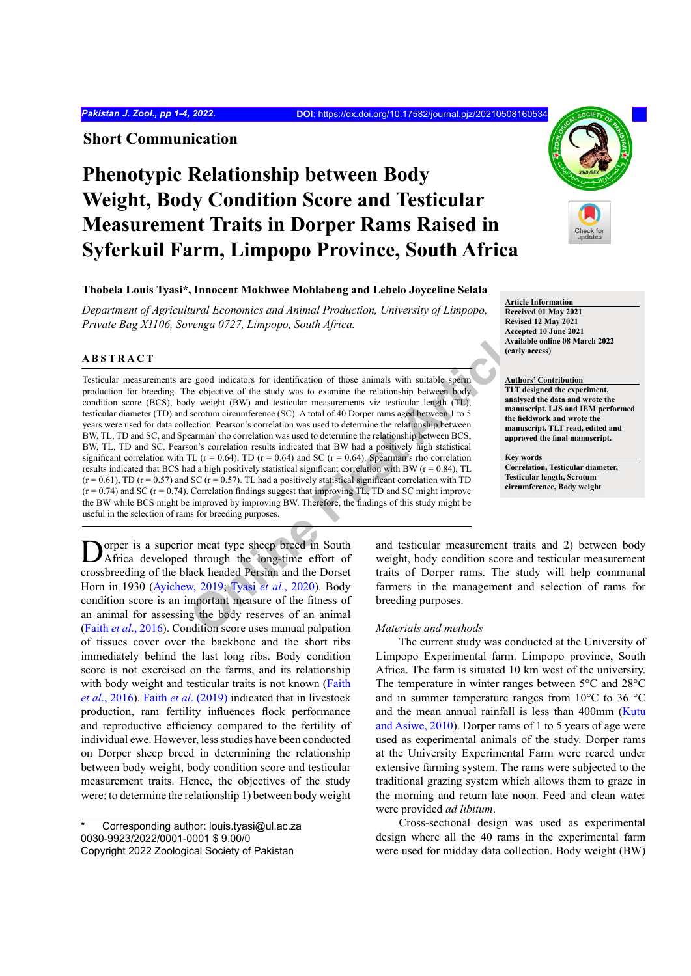**Short Communication**

# **Phenotypic Relationship between Body Weight, Body Condition Score and Testicular Measurement Traits in Dorper Rams Raised in Syferkuil Farm, Limpopo Province, South Africa**

# **Thobela Louis Tyasi\*, Innocent Mokhwee Mohlabeng and Lebelo Joyceline Selala**

*Department of Agricultural Economics and Animal Production, University of Limpopo, Private Bag X1106, Sovenga 0727, Limpopo, South Africa.*

#### **ABSTRACT**

**[Onli](#page-3-0)ne First Article** Testicular measurements are good indicators for identification of those animals with suitable sperm production for breeding. The objective of the study was to examine the relationship between body condition score (BCS), body weight (BW) and testicular measurements viz testicular length (TL), testicular diameter (TD) and scrotum circumference (SC). A total of 40 Dorper rams aged between 1 to 5 years were used for data collection. Pearson's correlation was used to determine the relationship between BW, TL, TD and SC, and Spearman' rho correlation was used to determine the relationship between BCS, BW, TL, TD and SC. Pearson's correlation results indicated that BW had a positively high statistical significant correlation with TL ( $r = 0.64$ ), TD ( $r = 0.64$ ) and SC ( $r = 0.64$ ). Spearman's rho correlation results indicated that BCS had a high positively statistical significant correlation with BW ( $r = 0.84$ ), TL  $(r = 0.61)$ , TD (r = 0.57) and SC (r = 0.57). TL had a positively statistical significant correlation with TD  $(r = 0.74)$  and SC  $(r = 0.74)$ . Correlation findings suggest that improving TL, TD and SC might improve the BW while BCS might be improved by improving BW. Therefore, the findings of this study might be useful in the selection of rams for breeding purposes.

Dorper is a superior meat type sheep breed in South Africa developed through the long-time effort of crossbreeding of the black headed Persian and the Dorset Horn in 1930 [\(Ayichew, 2019](#page-2-0); Tyasi *et al*., 2020). Body condition score is an important measure of the fitness of an animal for assessing the body reserves of an animal (Faith *et al*[., 2016](#page-2-1)). Condition score uses manual palpation of tissues cover over the backbone and the short ribs immediately behind the last long ribs. Body condition score is not exercised on the farms, and its relationship with body weight and testicular traits is not known ([Faith](#page-2-1)) *et al*[., 2016](#page-2-1)). Faith *et al*[. \(2019\)](#page-2-2) indicated that in livestock production, ram fertility influences flock performance and reproductive efficiency compared to the fertility of individual ewe. However, less studies have been conducted on Dorper sheep breed in determining the relationship between body weight, body condition score and testicular measurement traits. Hence, the objectives of the study were: to determine the relationship 1) between body weight



**Article Information Received 01 May 2021 Revised 12 May 2021 Accepted 10 June 2021 Available online 08 March 2022 (early access)**

# **Authors' Contribution**

**TLT designed the experiment, analysed the data and wrote the manuscript. LJS and IEM performed the fieldwork and wrote the manuscript. TLT read, edited and approved the final manuscript.**

**Key words**

**Correlation, Testicular diameter, Testicular length, Scrotum circumference, Body weight**

and testicular measurement traits and 2) between body weight, body condition score and testicular measurement traits of Dorper rams. The study will help communal farmers in the management and selection of rams for breeding purposes.

### *Materials and methods*

The current study was conducted at the University of Limpopo Experimental farm. Limpopo province, South Africa. The farm is situated 10 km west of the university. The temperature in winter ranges between 5°C and 28°C and in summer temperature ranges from 10°C to 36 °C and the mean annual rainfall is less than 400mm ([Kutu](#page-2-3) [and Asiwe, 2010\)](#page-2-3). Dorper rams of 1 to 5 years of age were used as experimental animals of the study. Dorper rams at the University Experimental Farm were reared under extensive farming system. The rams were subjected to the traditional grazing system which allows them to graze in the morning and return late noon. Feed and clean water were provided *ad libitum*.

Cross-sectional design was used as experimental design where all the 40 rams in the experimental farm were used for midday data collection. Body weight (BW)

Corresponding author: louis.tyasi@ul.ac.za 0030-9923/2022/0001-0001 \$ 9.00/0 Copyright 2022 Zoological Society of Pakistan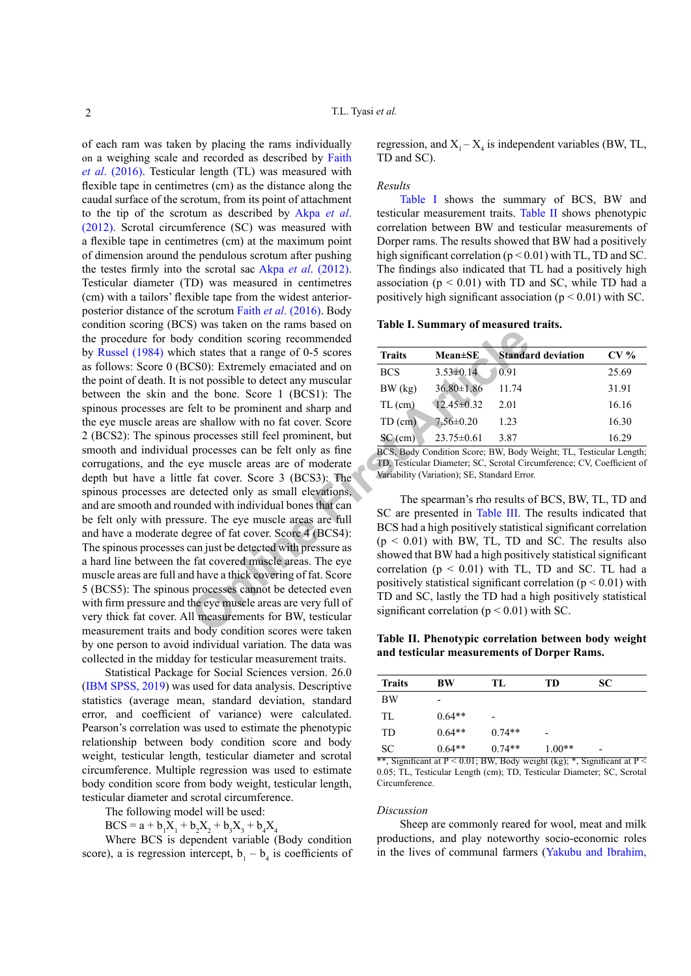**Solution** sorring recommended<br>
Determined the states that a range of 0-5 scores<br>
CS0): Extremely emaciated and on<br>
the bone. Score 1 (BCS1): The<br>
felt to be prominent and sharp and<br>
felt to be prominent and sharp and<br>
Fi of each ram was taken by placing the rams individually on a weighing scale and recorded as described by [Faith](#page-2-1) *et al*[. \(2016\).](#page-2-1) Testicular length (TL) was measured with flexible tape in centimetres (cm) as the distance along the caudal surface of the scrotum, from its point of attachment to the tip of the scrotum as described by [Akpa](#page-2-4) *et al*. [\(2012\)](#page-2-4). Scrotal circumference (SC) was measured with a flexible tape in centimetres (cm) at the maximum point of dimension around the pendulous scrotum after pushing the testes firmly into the scrotal sac Akpa *et al*[. \(2012\).](#page-2-4) Testicular diameter (TD) was measured in centimetres (cm) with a tailors' flexible tape from the widest anteriorposterior distance of the scrotum Faith *et al*[. \(2016\)](#page-2-1). Body condition scoring (BCS) was taken on the rams based on the procedure for body condition scoring recommended by [Russel \(1984\)](#page-2-5) which states that a range of 0-5 scores as follows: Score 0 (BCS0): Extremely emaciated and on the point of death. It is not possible to detect any muscular between the skin and the bone. Score 1 (BCS1): The spinous processes are felt to be prominent and sharp and the eye muscle areas are shallow with no fat cover. Score 2 (BCS2): The spinous processes still feel prominent, but smooth and individual processes can be felt only as fine corrugations, and the eye muscle areas are of moderate depth but have a little fat cover. Score 3 (BCS3): The spinous processes are detected only as small elevations, and are smooth and rounded with individual bones that can be felt only with pressure. The eye muscle areas are full and have a moderate degree of fat cover. Score 4 (BCS4): The spinous processes can just be detected with pressure as a hard line between the fat covered muscle areas. The eye muscle areas are full and have a thick covering of fat. Score 5 (BCS5): The spinous processes cannot be detected even with firm pressure and the eye muscle areas are very full of very thick fat cover. All measurements for BW, testicular measurement traits and body condition scores were taken by one person to avoid individual variation. The data was collected in the midday for testicular measurement traits.

Statistical Package for Social Sciences version. 26.0 ([IBM SPSS, 2019](#page-2-6)) was used for data analysis. Descriptive statistics (average mean, standard deviation, standard error, and coefficient of variance) were calculated. Pearson's correlation was used to estimate the phenotypic relationship between body condition score and body weight, testicular length, testicular diameter and scrotal circumference. Multiple regression was used to estimate body condition score from body weight, testicular length, testicular diameter and scrotal circumference.

The following model will be used:

 $BCS = a + b_1X_1 + b_2X_2 + b_3X_3 + b_4X_4$ 

Where BCS is dependent variable (Body condition score), a is regression intercept,  $b_1 - b_4$  is coefficients of

regression, and  $X_1 - X_4$  is independent variables (BW, TL, TD and SC).

#### *Results*

[Table I](#page-1-0) shows the summary of BCS, BW and testicular measurement traits. [Table II](#page-1-1) shows phenotypic correlation between BW and testicular measurements of Dorper rams. The results showed that BW had a positively high significant correlation ( $p < 0.01$ ) with TL, TD and SC. The findings also indicated that TL had a positively high association  $(p < 0.01)$  with TD and SC, while TD had a positively high significant association ( $p < 0.01$ ) with SC.

## <span id="page-1-0"></span>**Table I. Summary of measured traits.**

| <b>Traits</b> | <b>Mean±SE</b>   | <b>Standard deviation</b> | $CV\%$ |  |  |  |  |  |
|---------------|------------------|---------------------------|--------|--|--|--|--|--|
| <b>BCS</b>    | $3.53 \pm 0.14$  | 0.91                      | 25.69  |  |  |  |  |  |
| BW(kg)        | $36.80 \pm 1.86$ | 11.74                     | 31.91  |  |  |  |  |  |
| $TL$ (cm)     | $12.45 \pm 0.32$ | 2.01                      | 16.16  |  |  |  |  |  |
| $TD$ (cm)     | $7.56 \pm 0.20$  | 1.23                      | 16.30  |  |  |  |  |  |
| $SC$ (cm)     | $23.75 \pm 0.61$ | 3.87                      | 16.29  |  |  |  |  |  |

BCS, Body Condition Score; BW, Body Weight; TL, Testicular Length; TD, Testicular Diameter; SC, Scrotal Circumference; CV, Coefficient of Variability (Variation); SE, Standard Error.

The spearman's rho results of BCS, BW, TL, TD and SC are presented in Table III. The results indicated that BCS had a high positively statistical significant correlation  $(p < 0.01)$  with BW, TL, TD and SC. The results also showed that BW had a high positively statistical significant correlation  $(p < 0.01)$  with TL, TD and SC. TL had a positively statistical significant correlation ( $p < 0.01$ ) with TD and SC, lastly the TD had a high positively statistical significant correlation ( $p < 0.01$ ) with SC.

<span id="page-1-1"></span>**Table II. Phenotypic correlation between body weight and testicular measurements of Dorper Rams.**

| <b>Traits</b> | BW                       | TL.                      | TD       | <b>SC</b> |
|---------------|--------------------------|--------------------------|----------|-----------|
| BW            | $\overline{\phantom{0}}$ |                          |          |           |
| TL            | $0.64**$                 | $\overline{\phantom{0}}$ |          |           |
| <b>TD</b>     | $0.64**$                 | $0.74**$                 |          |           |
| <b>SC</b>     | $0.64**$                 | $0.74**$                 | $1.00**$ | -         |

\*\*, Significant at  $P < 0.01$ ; BW, Body weight (kg); \*, Significant at  $P <$ 0.05; TL, Testicular Length (cm); TD, Testicular Diameter; SC, Scrotal Circumference.

### *Discussion*

Sheep are commonly reared for wool, meat and milk productions, and play noteworthy socio-economic roles in the lives of communal farmers [\(Yakubu and Ibrahim,](#page-3-1)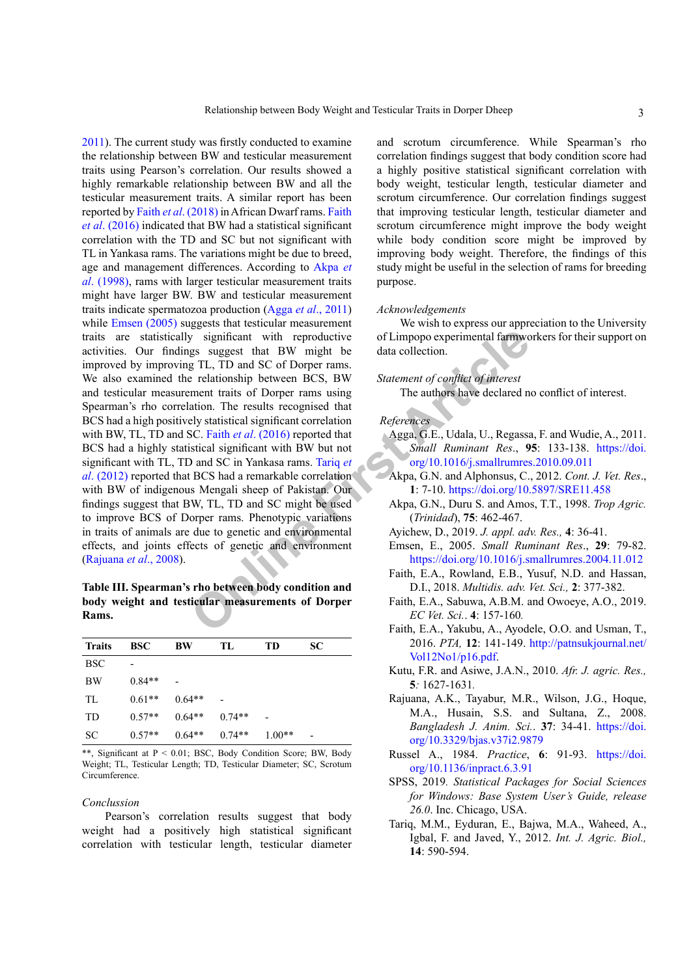Final Rams (Scale) Significant with [r](#page-2-12)eproductive of Limpopo experimental farmwer<br>
g TL, TD and SC of Dorper rams.<br>
The data collection.<br>
The setationship between BCS, BW Statement of conflict of interest<br>
article is transm [2011](#page-3-1)). The current study was firstly conducted to examine the relationship between BW and testicular measurement traits using Pearson's correlation. Our results showed a highly remarkable relationship between BW and all the testicular measurement traits. A similar report has been reported by Faith *et al*[. \(2018\)](#page-2-8) in African Dwarf rams. [Faith](#page-2-1) *et al*[. \(2016\)](#page-2-1) indicated that BW had a statistical significant correlation with the TD and SC but not significant with TL in Yankasa rams. The variations might be due to breed, age and management differences. According to [Akpa](#page-2-9) *et al*[. \(1998\),](#page-2-9) rams with larger testicular measurement traits might have larger BW. BW and testicular measurement traits indicate spermatozoa production (Agga *et al*[., 2011](#page-2-10)) while [Emsen \(2005\)](#page-2-11) suggests that testicular measurement traits are statistically significant with reproductive activities. Our findings suggest that BW might be improved by improving TL, TD and SC of Dorper rams. We also examined the relationship between BCS, BW and testicular measurement traits of Dorper rams using Spearman's rho correlation. The results recognised that BCS had a high positively statistical significant correlation with BW, TL, TD and SC. Faith *et al*. (2016) reported that BCS had a highly statistical significant with BW but not significant with TL, TD and SC in Yankasa rams. Tariq *et al*[. \(2012\)](#page-2-12) reported that BCS had a remarkable correlation with BW of indigenous Mengali sheep of Pakistan. Our findings suggest that BW, TL, TD and SC might be used to improve BCS of Dorper rams. Phenotypic variations in traits of animals are due to genetic and environmental effects, and joints effects of genetic and environment ([Rajuana](#page-2-13) *et al*., 2008).

<span id="page-2-7"></span>**Table III. Spearman's rho between body condition and body weight and testicular measurements of Dorper Rams.**

| <b>Traits</b> | <b>BSC</b> | BW       | TL.      | <b>TD</b> | SC.                      |
|---------------|------------|----------|----------|-----------|--------------------------|
| <b>BSC</b>    |            |          |          |           |                          |
| <b>BW</b>     | $0.84**$   |          |          |           |                          |
| TL            | $0.61**$   | $0.64**$ |          |           |                          |
| <b>TD</b>     | $0.57**$   | $0.64**$ | $0.74**$ |           |                          |
| SC            | $0.57**$   | $0.64**$ | $0.74**$ | $1.00**$  | $\overline{\phantom{0}}$ |

\*\*, Significant at P < 0.01; BSC, Body Condition Score; BW, Body Weight; TL, Testicular Length; TD, Testicular Diameter; SC, Scrotum Circumference.

#### <span id="page-2-12"></span>*Conclussion*

Pearson's correlation results suggest that body weight had a positively high statistical significant correlation with testicular length, testicular diameter

and scrotum circumference. While Spearman's rho correlation findings suggest that body condition score had a highly positive statistical significant correlation with body weight, testicular length, testicular diameter and scrotum circumference. Our correlation findings suggest that improving testicular length, testicular diameter and scrotum circumference might improve the body weight while body condition score might be improved by improving body weight. Therefore, the findings of this study might be useful in the selection of rams for breeding purpose.

## *Acknowledgements*

We wish to express our appreciation to the University of Limpopo experimental farmworkers for their support on data collection.

# *Statement of conflict of interest*

The authors have declared no conflict of interest.

# *References*

- <span id="page-2-10"></span>Agga, G.E., Udala, U., Regassa, F. and Wudie, A., 2011. *Small Ruminant Res*., **95**: 133-138. [https://doi.](https://doi.org/10.1016/j.smallrumres.2010.09.011) [org/10.1016/j.smallrumres.2010.09.011](https://doi.org/10.1016/j.smallrumres.2010.09.011)
- <span id="page-2-13"></span><span id="page-2-11"></span><span id="page-2-9"></span><span id="page-2-8"></span><span id="page-2-6"></span><span id="page-2-5"></span><span id="page-2-4"></span><span id="page-2-3"></span><span id="page-2-2"></span><span id="page-2-1"></span><span id="page-2-0"></span>Akpa, G.N. and Alphonsus, C., 2012. *Cont. J. Vet. Res*., **1**: 7-10. <https://doi.org/10.5897/SRE11.458>
	- Akpa, G.N., Duru S. and Amos, T.T., 1998. *Trop Agric.* (*Trinidad*), **75**: 462-467.
	- Ayichew, D., 2019. *J. appl. adv. Res.,* **4**: 36-41.
	- Emsen, E., 2005. *Small Ruminant Res*., **29**: 79-82. <https://doi.org/10.1016/j.smallrumres.2004.11.012>
	- Faith, E.A., Rowland, E.B., Yusuf, N.D. and Hassan, D.I., 2018. *Multidis. adv. Vet. Sci.,* **2**: 377-382.
	- Faith, E.A., Sabuwa, A.B.M. and Owoeye, A.O., 2019. *EC Vet. Sci.*. **4**: 157-160*.*
	- Faith, E.A., Yakubu, A., Ayodele, O.O. and Usman, T., 2016. *PTA,* **12**: 141-149. [http://patnsukjournal.net/](http://patnsukjournal.net/Vol12No1/p16.pdf) [Vol12No1/p16.pdf.](http://patnsukjournal.net/Vol12No1/p16.pdf)
	- Kutu, F.R. and Asiwe, J.A.N., 2010. *Afr. J. agric. Res.,* **5***:* 1627-1631*.*
	- Rajuana, A.K., Tayabur, M.R., Wilson, J.G., Hoque, M.A., Husain, S.S. and Sultana, Z., 2008. *Bangladesh J. Anim. Sci.*. **37**: 34-41. [https://doi.](https://doi.org/10.3329/bjas.v37i2.9879) [org/10.3329/bjas.v37i2.9879](https://doi.org/10.3329/bjas.v37i2.9879)
	- Russel A., 1984. *Practice*, **6**: 91-93. [https://doi.](https://doi.org/10.1136/inpract.6.3.91) [org/10.1136/inpract.6.3.91](https://doi.org/10.1136/inpract.6.3.91)
	- SPSS, 2019*. Statistical Packages for Social Sciences for Windows: Base System User's Guide, release 26.0*. Inc. Chicago, USA.
	- Tariq, M.M., Eyduran, E., Bajwa, M.A., Waheed, A., Igbal, F. and Javed, Y., 2012. *Int. J. Agric. Biol.,* **14**: 590-594.